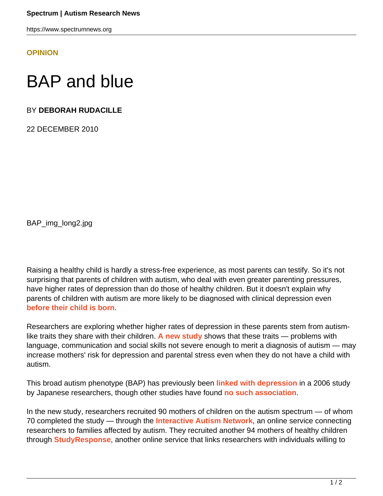https://www.spectrumnews.org

**[OPINION](HTTPS://WWW.SPECTRUMNEWS.ORG/OPINION/)**

## BAP and blue

## BY **DEBORAH RUDACILLE**

22 DECEMBER 2010

BAP\_img\_long2.jpg

Raising a healthy child is hardly a stress-free experience, as most parents can testify. So it's not surprising that parents of children with autism, who deal with even greater parenting pressures, have higher rates of depression than do those of healthy children. But it doesn't explain why parents of children with autism are more likely to be diagnosed with clinical depression even **[before their child is born](http://www.ncbi.nlm.nih.gov/pubmed/10200734)**.

Researchers are exploring whether higher rates of depression in these parents stem from autismlike traits they share with their children. **[A new study](http://www.ncbi.nlm.nih.gov/pubmed/21480539)** shows that these traits — problems with language, communication and social skills not severe enough to merit a diagnosis of autism — may increase mothers' risk for depression and parental stress even when they do not have a child with autism.

This broad autism phenotype (BAP) has previously been **[linked with depression](http://www.ncbi.nlm.nih.gov/pubmed/16602034)** in a 2006 study by Japanese researchers, though other studies have found **[no such association](http://www.ncbi.nlm.nih.gov/pubmed/10200734)**.

In the new study, researchers recruited 90 mothers of children on the autism spectrum — of whom 70 completed the study — through the **[Interactive Autism Network](https://www.ianresearch.org/login)**, an online service connecting researchers to families affected by autism. They recruited another 94 mothers of healthy children through **[StudyResponse](http://studyresponse.syr.edu/studyresponse/)**, another online service that links researchers with individuals willing to